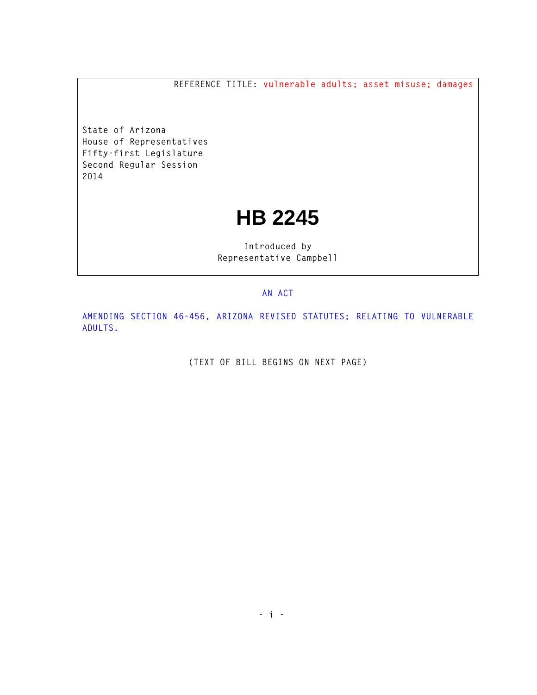**REFERENCE TITLE: vulnerable adults; asset misuse; damages**

**State of Arizona House of Representatives Fifty-first Legislature Second Regular Session 2014** 

## **HB 2245**

**Introduced by Representative Campbell** 

## **AN ACT**

**AMENDING SECTION 46-456, ARIZONA REVISED STATUTES; RELATING TO VULNERABLE ADULTS.** 

**(TEXT OF BILL BEGINS ON NEXT PAGE)**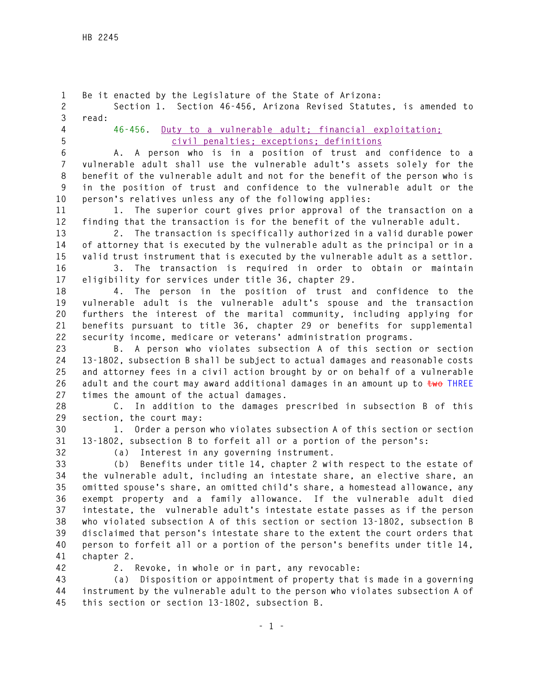**1 Be it enacted by the Legislature of the State of Arizona: 2 Section 1. Section 46-456, Arizona Revised Statutes, is amended to 3 read: 4 46-456. Duty to a vulnerable adult; financial exploitation; 5 civil penalties; exceptions; definitions 6 A. A person who is in a position of trust and confidence to a 7 vulnerable adult shall use the vulnerable adult's assets solely for the 8 benefit of the vulnerable adult and not for the benefit of the person who is 9 in the position of trust and confidence to the vulnerable adult or the 10 person's relatives unless any of the following applies: 11 1. The superior court gives prior approval of the transaction on a 12 finding that the transaction is for the benefit of the vulnerable adult. 13 2. The transaction is specifically authorized in a valid durable power 14 of attorney that is executed by the vulnerable adult as the principal or in a 15 valid trust instrument that is executed by the vulnerable adult as a settlor. 16 3. The transaction is required in order to obtain or maintain 17 eligibility for services under title 36, chapter 29. 18 4. The person in the position of trust and confidence to the 19 vulnerable adult is the vulnerable adult's spouse and the transaction 20 furthers the interest of the marital community, including applying for 21 benefits pursuant to title 36, chapter 29 or benefits for supplemental 22 security income, medicare or veterans' administration programs. 23 B. A person who violates subsection A of this section or section 24 13-1802, subsection B shall be subject to actual damages and reasonable costs 25 and attorney fees in a civil action brought by or on behalf of a vulnerable**  26 adult and the court may award additional damages in an amount up to  $\frac{1}{2}$  THREE **27 times the amount of the actual damages. 28 C. In addition to the damages prescribed in subsection B of this 29 section, the court may: 30 1. Order a person who violates subsection A of this section or section 31 13-1802, subsection B to forfeit all or a portion of the person's: 32 (a) Interest in any governing instrument. 33 (b) Benefits under title 14, chapter 2 with respect to the estate of 34 the vulnerable adult, including an intestate share, an elective share, an 35 omitted spouse's share, an omitted child's share, a homestead allowance, any 36 exempt property and a family allowance. If the vulnerable adult died 37 intestate, the vulnerable adult's intestate estate passes as if the person 38 who violated subsection A of this section or section 13-1802, subsection B 39 disclaimed that person's intestate share to the extent the court orders that 40 person to forfeit all or a portion of the person's benefits under title 14, 41 chapter 2. 42 2. Revoke, in whole or in part, any revocable: 43 (a) Disposition or appointment of property that is made in a governing 44 instrument by the vulnerable adult to the person who violates subsection A of 45 this section or section 13-1802, subsection B.**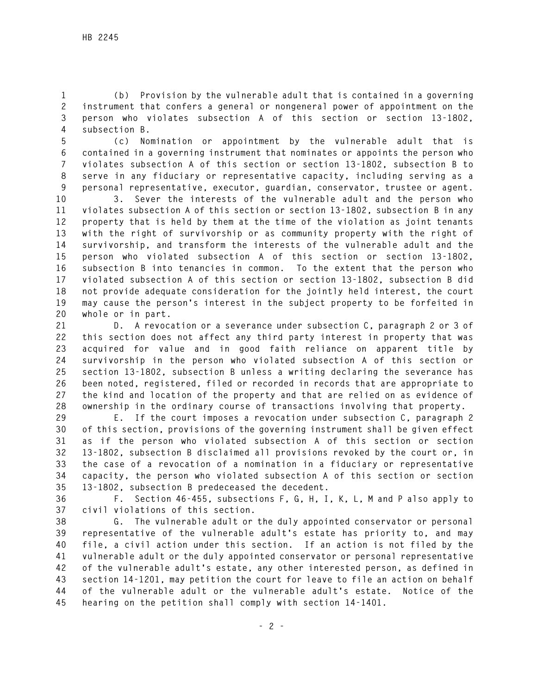**1 (b) Provision by the vulnerable adult that is contained in a governing 2 instrument that confers a general or nongeneral power of appointment on the 3 person who violates subsection A of this section or section 13-1802, 4 subsection B.** 

**5 (c) Nomination or appointment by the vulnerable adult that is 6 contained in a governing instrument that nominates or appoints the person who 7 violates subsection A of this section or section 13-1802, subsection B to 8 serve in any fiduciary or representative capacity, including serving as a 9 personal representative, executor, guardian, conservator, trustee or agent.** 

**10 3. Sever the interests of the vulnerable adult and the person who 11 violates subsection A of this section or section 13-1802, subsection B in any 12 property that is held by them at the time of the violation as joint tenants 13 with the right of survivorship or as community property with the right of 14 survivorship, and transform the interests of the vulnerable adult and the 15 person who violated subsection A of this section or section 13-1802, 16 subsection B into tenancies in common. To the extent that the person who 17 violated subsection A of this section or section 13-1802, subsection B did 18 not provide adequate consideration for the jointly held interest, the court 19 may cause the person's interest in the subject property to be forfeited in 20 whole or in part.** 

**21 D. A revocation or a severance under subsection C, paragraph 2 or 3 of 22 this section does not affect any third party interest in property that was 23 acquired for value and in good faith reliance on apparent title by 24 survivorship in the person who violated subsection A of this section or 25 section 13-1802, subsection B unless a writing declaring the severance has 26 been noted, registered, filed or recorded in records that are appropriate to 27 the kind and location of the property and that are relied on as evidence of 28 ownership in the ordinary course of transactions involving that property.** 

**29 E. If the court imposes a revocation under subsection C, paragraph 2 30 of this section, provisions of the governing instrument shall be given effect 31 as if the person who violated subsection A of this section or section 32 13-1802, subsection B disclaimed all provisions revoked by the court or, in 33 the case of a revocation of a nomination in a fiduciary or representative 34 capacity, the person who violated subsection A of this section or section 35 13-1802, subsection B predeceased the decedent.** 

**36 F. Section 46-455, subsections F, G, H, I, K, L, M and P also apply to 37 civil violations of this section.** 

**38 G. The vulnerable adult or the duly appointed conservator or personal 39 representative of the vulnerable adult's estate has priority to, and may 40 file, a civil action under this section. If an action is not filed by the 41 vulnerable adult or the duly appointed conservator or personal representative 42 of the vulnerable adult's estate, any other interested person, as defined in 43 section 14-1201, may petition the court for leave to file an action on behalf 44 of the vulnerable adult or the vulnerable adult's estate. Notice of the 45 hearing on the petition shall comply with section 14-1401.**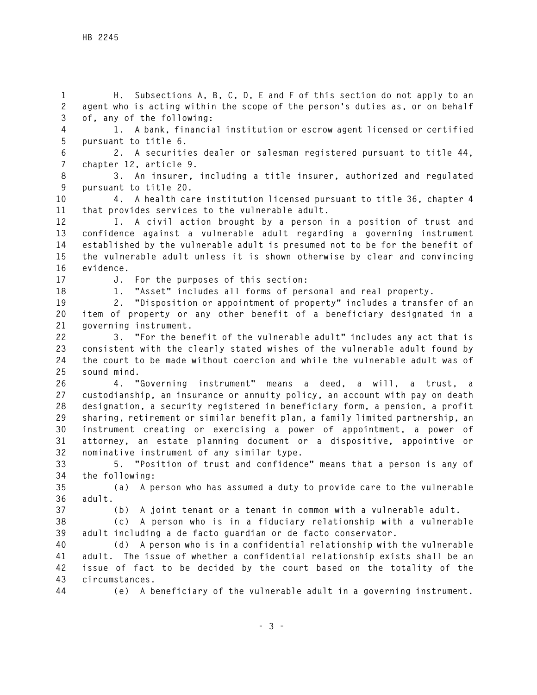**1 H. Subsections A, B, C, D, E and F of this section do not apply to an 2 agent who is acting within the scope of the person's duties as, or on behalf 3 of, any of the following:** 

**4 1. A bank, financial institution or escrow agent licensed or certified 5 pursuant to title 6.** 

**6 2. A securities dealer or salesman registered pursuant to title 44, 7 chapter 12, article 9.** 

**8 3. An insurer, including a title insurer, authorized and regulated 9 pursuant to title 20.** 

**10 4. A health care institution licensed pursuant to title 36, chapter 4 11 that provides services to the vulnerable adult.** 

**12 I. A civil action brought by a person in a position of trust and 13 confidence against a vulnerable adult regarding a governing instrument 14 established by the vulnerable adult is presumed not to be for the benefit of 15 the vulnerable adult unless it is shown otherwise by clear and convincing 16 evidence.** 

**17 J. For the purposes of this section:** 

**18 1. "Asset" includes all forms of personal and real property.** 

**19 2. "Disposition or appointment of property" includes a transfer of an 20 item of property or any other benefit of a beneficiary designated in a 21 governing instrument.** 

**22 3. "For the benefit of the vulnerable adult" includes any act that is 23 consistent with the clearly stated wishes of the vulnerable adult found by 24 the court to be made without coercion and while the vulnerable adult was of 25 sound mind.** 

**26 4. "Governing instrument" means a deed, a will, a trust, a 27 custodianship, an insurance or annuity policy, an account with pay on death 28 designation, a security registered in beneficiary form, a pension, a profit 29 sharing, retirement or similar benefit plan, a family limited partnership, an 30 instrument creating or exercising a power of appointment, a power of 31 attorney, an estate planning document or a dispositive, appointive or 32 nominative instrument of any similar type.** 

**33 5. "Position of trust and confidence" means that a person is any of 34 the following:** 

**35 (a) A person who has assumed a duty to provide care to the vulnerable 36 adult.** 

**37 (b) A joint tenant or a tenant in common with a vulnerable adult.** 

**38 (c) A person who is in a fiduciary relationship with a vulnerable 39 adult including a de facto guardian or de facto conservator.** 

**40 (d) A person who is in a confidential relationship with the vulnerable 41 adult. The issue of whether a confidential relationship exists shall be an 42 issue of fact to be decided by the court based on the totality of the 43 circumstances.** 

**44 (e) A beneficiary of the vulnerable adult in a governing instrument.**